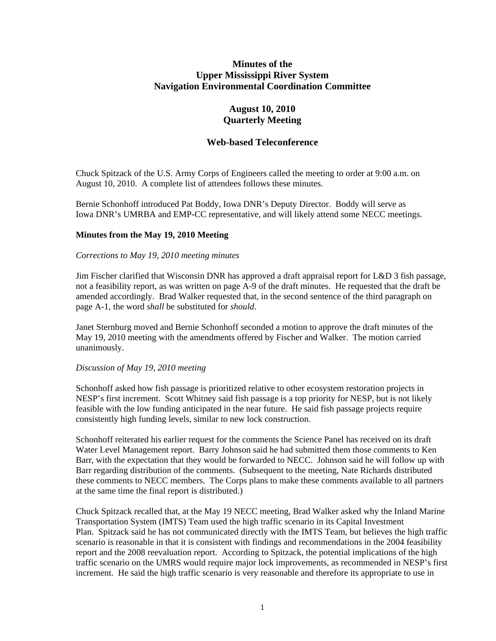# **Minutes of the Upper Mississippi River System Navigation Environmental Coordination Committee**

# **August 10, 2010 Quarterly Meeting**

# **Web-based Teleconference**

Chuck Spitzack of the U.S. Army Corps of Engineers called the meeting to order at 9:00 a.m. on August 10, 2010. A complete list of attendees follows these minutes.

Bernie Schonhoff introduced Pat Boddy, Iowa DNR's Deputy Director. Boddy will serve as Iowa DNR's UMRBA and EMP-CC representative, and will likely attend some NECC meetings.

### **Minutes from the May 19, 2010 Meeting**

### *Corrections to May 19, 2010 meeting minutes*

Jim Fischer clarified that Wisconsin DNR has approved a draft appraisal report for L&D 3 fish passage, not a feasibility report, as was written on page A-9 of the draft minutes. He requested that the draft be amended accordingly. Brad Walker requested that, in the second sentence of the third paragraph on page A-1, the word *shall* be substituted for *should*.

Janet Sternburg moved and Bernie Schonhoff seconded a motion to approve the draft minutes of the May 19, 2010 meeting with the amendments offered by Fischer and Walker. The motion carried unanimously.

#### *Discussion of May 19, 2010 meeting*

Schonhoff asked how fish passage is prioritized relative to other ecosystem restoration projects in NESP's first increment. Scott Whitney said fish passage is a top priority for NESP, but is not likely feasible with the low funding anticipated in the near future. He said fish passage projects require consistently high funding levels, similar to new lock construction.

Schonhoff reiterated his earlier request for the comments the Science Panel has received on its draft Water Level Management report. Barry Johnson said he had submitted them those comments to Ken Barr, with the expectation that they would be forwarded to NECC. Johnson said he will follow up with Barr regarding distribution of the comments. (Subsequent to the meeting, Nate Richards distributed these comments to NECC members. The Corps plans to make these comments available to all partners at the same time the final report is distributed.)

Chuck Spitzack recalled that, at the May 19 NECC meeting, Brad Walker asked why the Inland Marine Transportation System (IMTS) Team used the high traffic scenario in its Capital Investment Plan. Spitzack said he has not communicated directly with the IMTS Team, but believes the high traffic scenario is reasonable in that it is consistent with findings and recommendations in the 2004 feasibility report and the 2008 reevaluation report. According to Spitzack, the potential implications of the high traffic scenario on the UMRS would require major lock improvements, as recommended in NESP's first increment. He said the high traffic scenario is very reasonable and therefore its appropriate to use in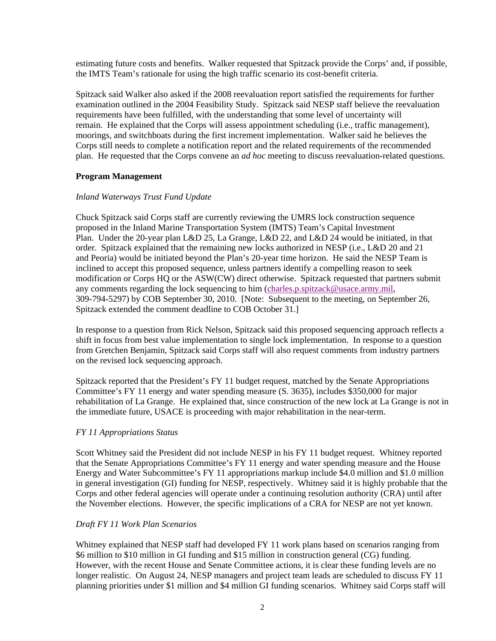estimating future costs and benefits. Walker requested that Spitzack provide the Corps' and, if possible, the IMTS Team's rationale for using the high traffic scenario its cost-benefit criteria.

Spitzack said Walker also asked if the 2008 reevaluation report satisfied the requirements for further examination outlined in the 2004 Feasibility Study. Spitzack said NESP staff believe the reevaluation requirements have been fulfilled, with the understanding that some level of uncertainty will remain. He explained that the Corps will assess appointment scheduling (i.e., traffic management), moorings, and switchboats during the first increment implementation. Walker said he believes the Corps still needs to complete a notification report and the related requirements of the recommended plan. He requested that the Corps convene an *ad hoc* meeting to discuss reevaluation-related questions.

# **Program Management**

# *Inland Waterways Trust Fund Update*

Chuck Spitzack said Corps staff are currently reviewing the UMRS lock construction sequence proposed in the Inland Marine Transportation System (IMTS) Team's Capital Investment Plan. Under the 20-year plan L&D 25, La Grange, L&D 22, and L&D 24 would be initiated, in that order. Spitzack explained that the remaining new locks authorized in NESP (i.e., L&D 20 and 21 and Peoria) would be initiated beyond the Plan's 20-year time horizon. He said the NESP Team is inclined to accept this proposed sequence, unless partners identify a compelling reason to seek modification or Corps HQ or the ASW(CW) direct otherwise. Spitzack requested that partners submit any comments regarding the lock sequencing to him [\(charles.p.spitzack@usace.army.mil,](mailto:charles.p.spitzack@usace.army.mil) 309-794-5297) by COB September 30, 2010. [Note: Subsequent to the meeting, on September 26, Spitzack extended the comment deadline to COB October 31.]

In response to a question from Rick Nelson, Spitzack said this proposed sequencing approach reflects a shift in focus from best value implementation to single lock implementation. In response to a question from Gretchen Benjamin, Spitzack said Corps staff will also request comments from industry partners on the revised lock sequencing approach.

Spitzack reported that the President's FY 11 budget request, matched by the Senate Appropriations Committee's FY 11 energy and water spending measure (S. 3635), includes \$350,000 for major rehabilitation of La Grange. He explained that, since construction of the new lock at La Grange is not in the immediate future, USACE is proceeding with major rehabilitation in the near-term.

# *FY 11 Appropriations Status*

Scott Whitney said the President did not include NESP in his FY 11 budget request. Whitney reported that the Senate Appropriations Committee's FY 11 energy and water spending measure and the House Energy and Water Subcommittee's FY 11 appropriations markup include \$4.0 million and \$1.0 million in general investigation (GI) funding for NESP, respectively. Whitney said it is highly probable that the Corps and other federal agencies will operate under a continuing resolution authority (CRA) until after the November elections. However, the specific implications of a CRA for NESP are not yet known.

# *Draft FY 11 Work Plan Scenarios*

Whitney explained that NESP staff had developed FY 11 work plans based on scenarios ranging from \$6 million to \$10 million in GI funding and \$15 million in construction general (CG) funding. However, with the recent House and Senate Committee actions, it is clear these funding levels are no longer realistic. On August 24, NESP managers and project team leads are scheduled to discuss FY 11 planning priorities under \$1 million and \$4 million GI funding scenarios. Whitney said Corps staff will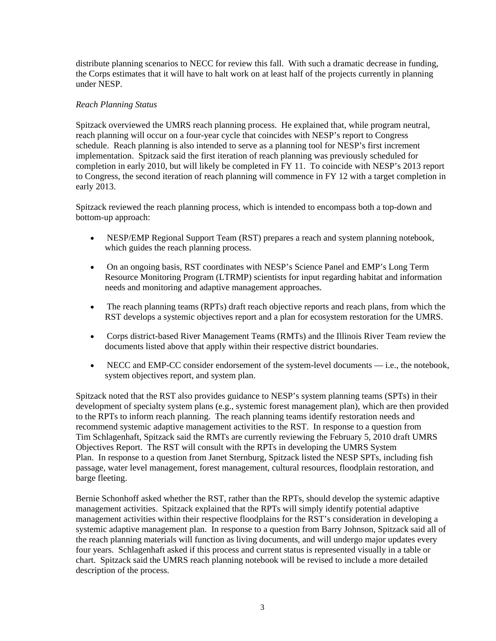distribute planning scenarios to NECC for review this fall. With such a dramatic decrease in funding, the Corps estimates that it will have to halt work on at least half of the projects currently in planning under NESP.

# *Reach Planning Status*

Spitzack overviewed the UMRS reach planning process. He explained that, while program neutral, reach planning will occur on a four-year cycle that coincides with NESP's report to Congress schedule. Reach planning is also intended to serve as a planning tool for NESP's first increment implementation. Spitzack said the first iteration of reach planning was previously scheduled for completion in early 2010, but will likely be completed in FY 11. To coincide with NESP's 2013 report to Congress, the second iteration of reach planning will commence in FY 12 with a target completion in early 2013.

Spitzack reviewed the reach planning process, which is intended to encompass both a top-down and bottom-up approach:

- NESP/EMP Regional Support Team (RST) prepares a reach and system planning notebook, which guides the reach planning process.
- On an ongoing basis, RST coordinates with NESP's Science Panel and EMP's Long Term Resource Monitoring Program (LTRMP) scientists for input regarding habitat and information needs and monitoring and adaptive management approaches.
- The reach planning teams (RPTs) draft reach objective reports and reach plans, from which the RST develops a systemic objectives report and a plan for ecosystem restoration for the UMRS.
- Corps district-based River Management Teams (RMTs) and the Illinois River Team review the documents listed above that apply within their respective district boundaries.
- NECC and EMP-CC consider endorsement of the system-level documents i.e., the notebook, system objectives report, and system plan.

Spitzack noted that the RST also provides guidance to NESP's system planning teams (SPTs) in their development of specialty system plans (e.g., systemic forest management plan), which are then provided to the RPTs to inform reach planning. The reach planning teams identify restoration needs and recommend systemic adaptive management activities to the RST. In response to a question from Tim Schlagenhaft, Spitzack said the RMTs are currently reviewing the February 5, 2010 draft UMRS Objectives Report. The RST will consult with the RPTs in developing the UMRS System Plan. In response to a question from Janet Sternburg, Spitzack listed the NESP SPTs, including fish passage, water level management, forest management, cultural resources, floodplain restoration, and barge fleeting.

Bernie Schonhoff asked whether the RST, rather than the RPTs, should develop the systemic adaptive management activities. Spitzack explained that the RPTs will simply identify potential adaptive management activities within their respective floodplains for the RST's consideration in developing a systemic adaptive management plan. In response to a question from Barry Johnson, Spitzack said all of the reach planning materials will function as living documents, and will undergo major updates every four years. Schlagenhaft asked if this process and current status is represented visually in a table or chart. Spitzack said the UMRS reach planning notebook will be revised to include a more detailed description of the process.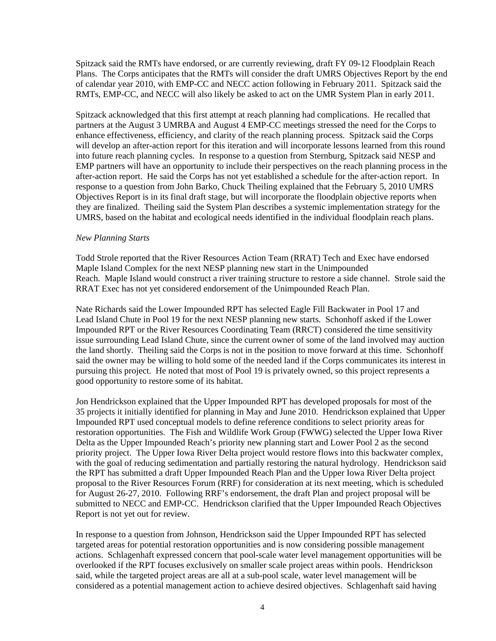Spitzack said the RMTs have endorsed, or are currently reviewing, draft FY 09-12 Floodplain Reach Plans. The Corps anticipates that the RMTs will consider the draft UMRS Objectives Report by the end of calendar year 2010, with EMP-CC and NECC action following in February 2011. Spitzack said the RMTs, EMP-CC, and NECC will also likely be asked to act on the UMR System Plan in early 2011.

Spitzack acknowledged that this first attempt at reach planning had complications. He recalled that partners at the August 3 UMRBA and August 4 EMP-CC meetings stressed the need for the Corps to enhance effectiveness, efficiency, and clarity of the reach planning process. Spitzack said the Corps will develop an after-action report for this iteration and will incorporate lessons learned from this round into future reach planning cycles. In response to a question from Sternburg, Spitzack said NESP and EMP partners will have an opportunity to include their perspectives on the reach planning process in the after-action report. He said the Corps has not yet established a schedule for the after-action report. In response to a question from John Barko, Chuck Theiling explained that the February 5, 2010 UMRS Objectives Report is in its final draft stage, but will incorporate the floodplain objective reports when they are finalized. Theiling said the System Plan describes a systemic implementation strategy for the UMRS, based on the habitat and ecological needs identified in the individual floodplain reach plans.

#### *New Planning Starts*

Todd Strole reported that the River Resources Action Team (RRAT) Tech and Exec have endorsed Maple Island Complex for the next NESP planning new start in the Unimpounded Reach. Maple Island would construct a river training structure to restore a side channel. Strole said the RRAT Exec has not yet considered endorsement of the Unimpounded Reach Plan.

Nate Richards said the Lower Impounded RPT has selected Eagle Fill Backwater in Pool 17 and Lead Island Chute in Pool 19 for the next NESP planning new starts. Schonhoff asked if the Lower Impounded RPT or the River Resources Coordinating Team (RRCT) considered the time sensitivity issue surrounding Lead Island Chute, since the current owner of some of the land involved may auction the land shortly. Theiling said the Corps is not in the position to move forward at this time. Schonhoff said the owner may be willing to hold some of the needed land if the Corps communicates its interest in pursuing this project. He noted that most of Pool 19 is privately owned, so this project represents a good opportunity to restore some of its habitat.

Jon Hendrickson explained that the Upper Impounded RPT has developed proposals for most of the 35 projects it initially identified for planning in May and June 2010. Hendrickson explained that Upper Impounded RPT used conceptual models to define reference conditions to select priority areas for restoration opportunities. The Fish and Wildlife Work Group (FWWG) selected the Upper Iowa River Delta as the Upper Impounded Reach's priority new planning start and Lower Pool 2 as the second priority project. The Upper Iowa River Delta project would restore flows into this backwater complex, with the goal of reducing sedimentation and partially restoring the natural hydrology. Hendrickson said the RPT has submitted a draft Upper Impounded Reach Plan and the Upper Iowa River Delta project proposal to the River Resources Forum (RRF) for consideration at its next meeting, which is scheduled for August 26-27, 2010. Following RRF's endorsement, the draft Plan and project proposal will be submitted to NECC and EMP-CC. Hendrickson clarified that the Upper Impounded Reach Objectives Report is not yet out for review.

In response to a question from Johnson, Hendrickson said the Upper Impounded RPT has selected targeted areas for potential restoration opportunities and is now considering possible management actions. Schlagenhaft expressed concern that pool-scale water level management opportunities will be overlooked if the RPT focuses exclusively on smaller scale project areas within pools. Hendrickson said, while the targeted project areas are all at a sub-pool scale, water level management will be considered as a potential management action to achieve desired objectives. Schlagenhaft said having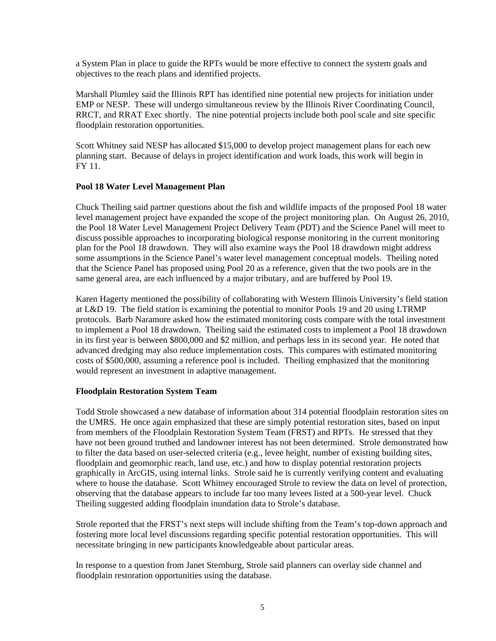a System Plan in place to guide the RPTs would be more effective to connect the system goals and objectives to the reach plans and identified projects.

Marshall Plumley said the Illinois RPT has identified nine potential new projects for initiation under EMP or NESP. These will undergo simultaneous review by the Illinois River Coordinating Council, RRCT, and RRAT Exec shortly. The nine potential projects include both pool scale and site specific floodplain restoration opportunities.

Scott Whitney said NESP has allocated \$15,000 to develop project management plans for each new planning start. Because of delays in project identification and work loads, this work will begin in FY 11.

### **Pool 18 Water Level Management Plan**

Chuck Theiling said partner questions about the fish and wildlife impacts of the proposed Pool 18 water level management project have expanded the scope of the project monitoring plan. On August 26, 2010, the Pool 18 Water Level Management Project Delivery Team (PDT) and the Science Panel will meet to discuss possible approaches to incorporating biological response monitoring in the current monitoring plan for the Pool 18 drawdown. They will also examine ways the Pool 18 drawdown might address some assumptions in the Science Panel's water level management conceptual models. Theiling noted that the Science Panel has proposed using Pool 20 as a reference, given that the two pools are in the same general area, are each influenced by a major tributary, and are buffered by Pool 19.

Karen Hagerty mentioned the possibility of collaborating with Western Illinois University's field station at L&D 19. The field station is examining the potential to monitor Pools 19 and 20 using LTRMP protocols. Barb Naramore asked how the estimated monitoring costs compare with the total investment to implement a Pool 18 drawdown. Theiling said the estimated costs to implement a Pool 18 drawdown in its first year is between \$800,000 and \$2 million, and perhaps less in its second year. He noted that advanced dredging may also reduce implementation costs. This compares with estimated monitoring costs of \$500,000, assuming a reference pool is included. Theiling emphasized that the monitoring would represent an investment in adaptive management.

#### **Floodplain Restoration System Team**

Todd Strole showcased a new database of information about 314 potential floodplain restoration sites on the UMRS. He once again emphasized that these are simply potential restoration sites, based on input from members of the Floodplain Restoration System Team (FRST) and RPTs. He stressed that they have not been ground truthed and landowner interest has not been determined. Strole demonstrated how to filter the data based on user-selected criteria (e.g., levee height, number of existing building sites, floodplain and geomorphic reach, land use, etc.) and how to display potential restoration projects graphically in ArcGIS, using internal links. Strole said he is currently verifying content and evaluating where to house the database. Scott Whitney encouraged Strole to review the data on level of protection, observing that the database appears to include far too many levees listed at a 500-year level. Chuck Theiling suggested adding floodplain inundation data to Strole's database.

Strole reported that the FRST's next steps will include shifting from the Team's top-down approach and fostering more local level discussions regarding specific potential restoration opportunities. This will necessitate bringing in new participants knowledgeable about particular areas.

In response to a question from Janet Sternburg, Strole said planners can overlay side channel and floodplain restoration opportunities using the database.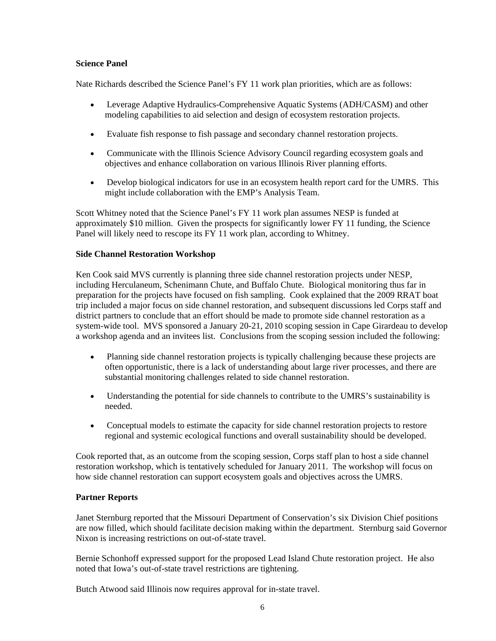# **Science Panel**

Nate Richards described the Science Panel's FY 11 work plan priorities, which are as follows:

- Leverage Adaptive Hydraulics-Comprehensive Aquatic Systems (ADH/CASM) and other modeling capabilities to aid selection and design of ecosystem restoration projects.
- Evaluate fish response to fish passage and secondary channel restoration projects.
- Communicate with the Illinois Science Advisory Council regarding ecosystem goals and objectives and enhance collaboration on various Illinois River planning efforts.
- Develop biological indicators for use in an ecosystem health report card for the UMRS. This might include collaboration with the EMP's Analysis Team.

Scott Whitney noted that the Science Panel's FY 11 work plan assumes NESP is funded at approximately \$10 million. Given the prospects for significantly lower FY 11 funding, the Science Panel will likely need to rescope its FY 11 work plan, according to Whitney.

# **Side Channel Restoration Workshop**

Ken Cook said MVS currently is planning three side channel restoration projects under NESP, including Herculaneum, Schenimann Chute, and Buffalo Chute. Biological monitoring thus far in preparation for the projects have focused on fish sampling. Cook explained that the 2009 RRAT boat trip included a major focus on side channel restoration, and subsequent discussions led Corps staff and district partners to conclude that an effort should be made to promote side channel restoration as a system-wide tool. MVS sponsored a January 20-21, 2010 scoping session in Cape Girardeau to develop a workshop agenda and an invitees list. Conclusions from the scoping session included the following:

- Planning side channel restoration projects is typically challenging because these projects are often opportunistic, there is a lack of understanding about large river processes, and there are substantial monitoring challenges related to side channel restoration.
- Understanding the potential for side channels to contribute to the UMRS's sustainability is needed.
- Conceptual models to estimate the capacity for side channel restoration projects to restore regional and systemic ecological functions and overall sustainability should be developed.

Cook reported that, as an outcome from the scoping session, Corps staff plan to host a side channel restoration workshop, which is tentatively scheduled for January 2011. The workshop will focus on how side channel restoration can support ecosystem goals and objectives across the UMRS.

# **Partner Reports**

Janet Sternburg reported that the Missouri Department of Conservation's six Division Chief positions are now filled, which should facilitate decision making within the department. Sternburg said Governor Nixon is increasing restrictions on out-of-state travel.

Bernie Schonhoff expressed support for the proposed Lead Island Chute restoration project. He also noted that Iowa's out-of-state travel restrictions are tightening.

Butch Atwood said Illinois now requires approval for in-state travel.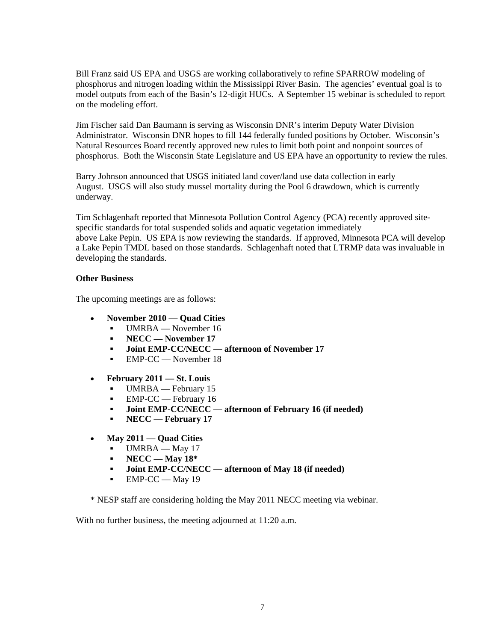Bill Franz said US EPA and USGS are working collaboratively to refine SPARROW modeling of phosphorus and nitrogen loading within the Mississippi River Basin. The agencies' eventual goal is to model outputs from each of the Basin's 12-digit HUCs. A September 15 webinar is scheduled to report on the modeling effort.

Jim Fischer said Dan Baumann is serving as Wisconsin DNR's interim Deputy Water Division Administrator. Wisconsin DNR hopes to fill 144 federally funded positions by October. Wisconsin's Natural Resources Board recently approved new rules to limit both point and nonpoint sources of phosphorus. Both the Wisconsin State Legislature and US EPA have an opportunity to review the rules.

Barry Johnson announced that USGS initiated land cover/land use data collection in early August. USGS will also study mussel mortality during the Pool 6 drawdown, which is currently underway.

Tim Schlagenhaft reported that Minnesota Pollution Control Agency (PCA) recently approved sitespecific standards for total suspended solids and aquatic vegetation immediately above Lake Pepin. US EPA is now reviewing the standards. If approved, Minnesota PCA will develop a Lake Pepin TMDL based on those standards. Schlagenhaft noted that LTRMP data was invaluable in developing the standards.

# **Other Business**

The upcoming meetings are as follows:

- **November 2010 — Quad Cities**
	- UMRBA November 16
	- **NECC — November 17**
	- **Joint EMP-CC/NECC — afternoon of November 17**
	- EMP-CC November 18
- **February 2011 — St. Louis**
	- UMRBA February 15
	- **EMP-CC** February 16
	- **Joint EMP-CC/NECC — afternoon of February 16 (if needed)**
	- **NECC — February 17**
- **May 2011 — Quad Cities**
	- UMRBA May 17
	- **NECC — May 18\***
	- **Joint EMP-CC/NECC — afternoon of May 18 (if needed)**
	- $\blacksquare$  EMP-CC May 19

\* NESP staff are considering holding the May 2011 NECC meeting via webinar.

With no further business, the meeting adjourned at 11:20 a.m.